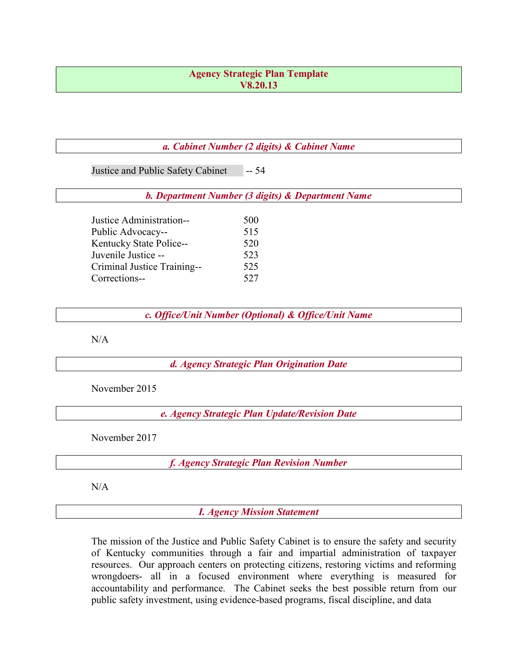#### Agency Strategic Plan Template V8.20.13

#### a. Cabinet Number (2 digits) & Cabinet Name

Justice and Public Safety Cabinet -- 54

b. Department Number (3 digits) & Department Name

| Justice Administration--    | 500 |
|-----------------------------|-----|
| Public Advocacy--           | 515 |
| Kentucky State Police--     | 520 |
| Juvenile Justice --         | 523 |
| Criminal Justice Training-- | 525 |
| Corrections--               | 527 |

c. Office/Unit Number (Optional) & Office/Unit Name

N/A

d. Agency Strategic Plan Origination Date

November 2015

e. Agency Strategic Plan Update/Revision Date

November 2017

f. Agency Strategic Plan Revision Number

N/A

I. Agency Mission Statement

The mission of the Justice and Public Safety Cabinet is to ensure the safety and security of Kentucky communities through a fair and impartial administration of taxpayer resources. Our approach centers on protecting citizens, restoring victims and reforming wrongdoers- all in a focused environment where everything is measured for accountability and performance. The Cabinet seeks the best possible return from our public safety investment, using evidence-based programs, fiscal discipline, and data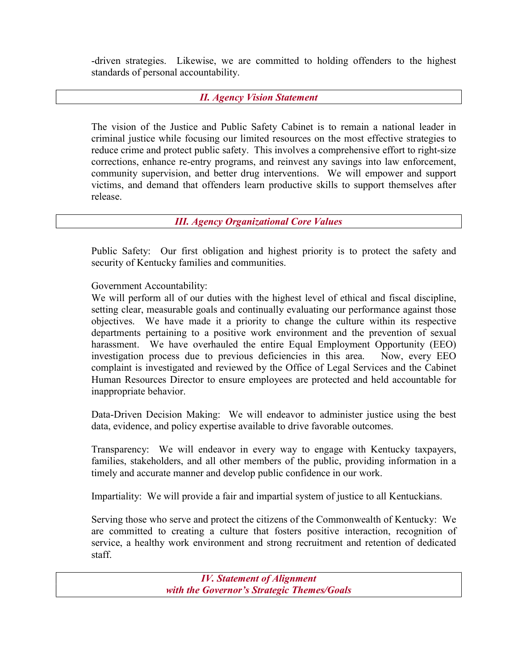-driven strategies. Likewise, we are committed to holding offenders to the highest standards of personal accountability.

## II. Agency Vision Statement

The vision of the Justice and Public Safety Cabinet is to remain a national leader in criminal justice while focusing our limited resources on the most effective strategies to reduce crime and protect public safety. This involves a comprehensive effort to right-size corrections, enhance re-entry programs, and reinvest any savings into law enforcement, community supervision, and better drug interventions. We will empower and support victims, and demand that offenders learn productive skills to support themselves after release.

### III. Agency Organizational Core Values

Public Safety: Our first obligation and highest priority is to protect the safety and security of Kentucky families and communities.

## Government Accountability:

We will perform all of our duties with the highest level of ethical and fiscal discipline, setting clear, measurable goals and continually evaluating our performance against those objectives. We have made it a priority to change the culture within its respective departments pertaining to a positive work environment and the prevention of sexual harassment. We have overhauled the entire Equal Employment Opportunity (EEO) investigation process due to previous deficiencies in this area. Now, every EEO complaint is investigated and reviewed by the Office of Legal Services and the Cabinet Human Resources Director to ensure employees are protected and held accountable for inappropriate behavior.

Data-Driven Decision Making: We will endeavor to administer justice using the best data, evidence, and policy expertise available to drive favorable outcomes.

Transparency: We will endeavor in every way to engage with Kentucky taxpayers, families, stakeholders, and all other members of the public, providing information in a timely and accurate manner and develop public confidence in our work.

Impartiality: We will provide a fair and impartial system of justice to all Kentuckians.

Serving those who serve and protect the citizens of the Commonwealth of Kentucky: We are committed to creating a culture that fosters positive interaction, recognition of service, a healthy work environment and strong recruitment and retention of dedicated staff.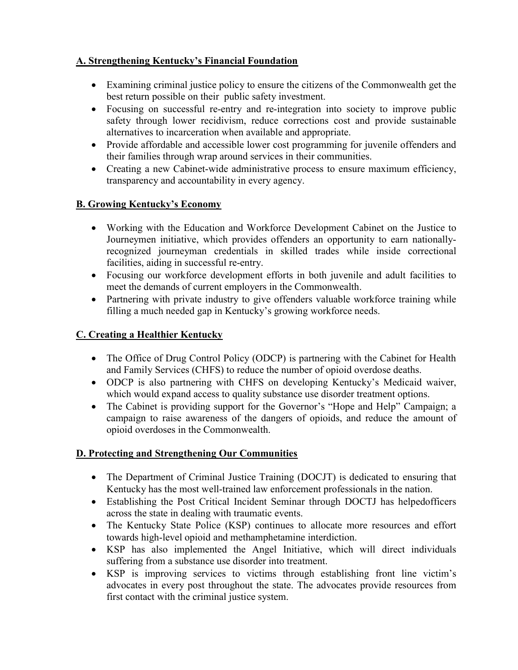# A. Strengthening Kentucky's Financial Foundation

- Examining criminal justice policy to ensure the citizens of the Commonwealth get the best return possible on their public safety investment.
- Focusing on successful re-entry and re-integration into society to improve public safety through lower recidivism, reduce corrections cost and provide sustainable alternatives to incarceration when available and appropriate.
- Provide affordable and accessible lower cost programming for juvenile offenders and their families through wrap around services in their communities.
- Creating a new Cabinet-wide administrative process to ensure maximum efficiency, transparency and accountability in every agency.

## B. Growing Kentucky's Economy

- Working with the Education and Workforce Development Cabinet on the Justice to Journeymen initiative, which provides offenders an opportunity to earn nationallyrecognized journeyman credentials in skilled trades while inside correctional facilities, aiding in successful re-entry.
- Focusing our workforce development efforts in both juvenile and adult facilities to meet the demands of current employers in the Commonwealth.
- Partnering with private industry to give offenders valuable workforce training while filling a much needed gap in Kentucky's growing workforce needs.

# C. Creating a Healthier Kentucky

- The Office of Drug Control Policy (ODCP) is partnering with the Cabinet for Health and Family Services (CHFS) to reduce the number of opioid overdose deaths.
- ODCP is also partnering with CHFS on developing Kentucky's Medicaid waiver, which would expand access to quality substance use disorder treatment options.
- The Cabinet is providing support for the Governor's "Hope and Help" Campaign; a campaign to raise awareness of the dangers of opioids, and reduce the amount of opioid overdoses in the Commonwealth.

## D. Protecting and Strengthening Our Communities

- The Department of Criminal Justice Training (DOCJT) is dedicated to ensuring that Kentucky has the most well-trained law enforcement professionals in the nation.
- Establishing the Post Critical Incident Seminar through DOCTJ has helpedofficers across the state in dealing with traumatic events.
- The Kentucky State Police (KSP) continues to allocate more resources and effort towards high-level opioid and methamphetamine interdiction.
- KSP has also implemented the Angel Initiative, which will direct individuals suffering from a substance use disorder into treatment.
- KSP is improving services to victims through establishing front line victim's advocates in every post throughout the state. The advocates provide resources from first contact with the criminal justice system.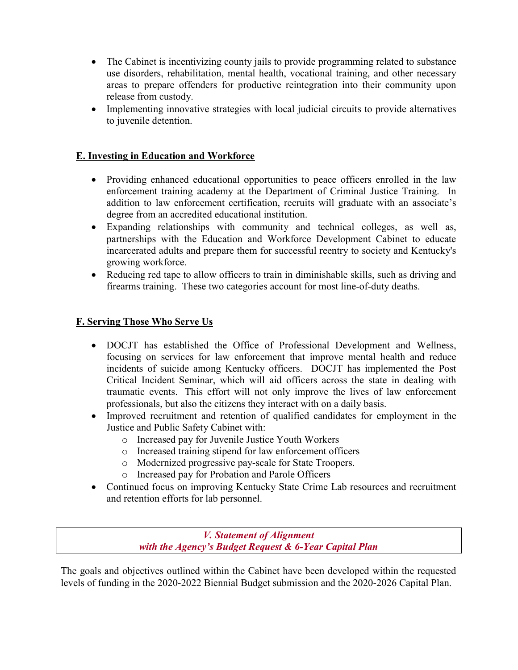- The Cabinet is incentivizing county jails to provide programming related to substance use disorders, rehabilitation, mental health, vocational training, and other necessary areas to prepare offenders for productive reintegration into their community upon release from custody.
- Implementing innovative strategies with local judicial circuits to provide alternatives to juvenile detention.

## E. Investing in Education and Workforce

- Providing enhanced educational opportunities to peace officers enrolled in the law enforcement training academy at the Department of Criminal Justice Training. In addition to law enforcement certification, recruits will graduate with an associate's degree from an accredited educational institution.
- Expanding relationships with community and technical colleges, as well as, partnerships with the Education and Workforce Development Cabinet to educate incarcerated adults and prepare them for successful reentry to society and Kentucky's growing workforce.
- Reducing red tape to allow officers to train in diminishable skills, such as driving and firearms training. These two categories account for most line-of-duty deaths.

### F. Serving Those Who Serve Us

- DOCJT has established the Office of Professional Development and Wellness, focusing on services for law enforcement that improve mental health and reduce incidents of suicide among Kentucky officers. DOCJT has implemented the Post Critical Incident Seminar, which will aid officers across the state in dealing with traumatic events. This effort will not only improve the lives of law enforcement professionals, but also the citizens they interact with on a daily basis.
- Improved recruitment and retention of qualified candidates for employment in the Justice and Public Safety Cabinet with:
	- o Increased pay for Juvenile Justice Youth Workers
	- o Increased training stipend for law enforcement officers
	- o Modernized progressive pay-scale for State Troopers.
	- o Increased pay for Probation and Parole Officers
- Continued focus on improving Kentucky State Crime Lab resources and recruitment and retention efforts for lab personnel.

V. Statement of Alignment with the Agency's Budget Request & 6-Year Capital Plan

The goals and objectives outlined within the Cabinet have been developed within the requested levels of funding in the 2020-2022 Biennial Budget submission and the 2020-2026 Capital Plan.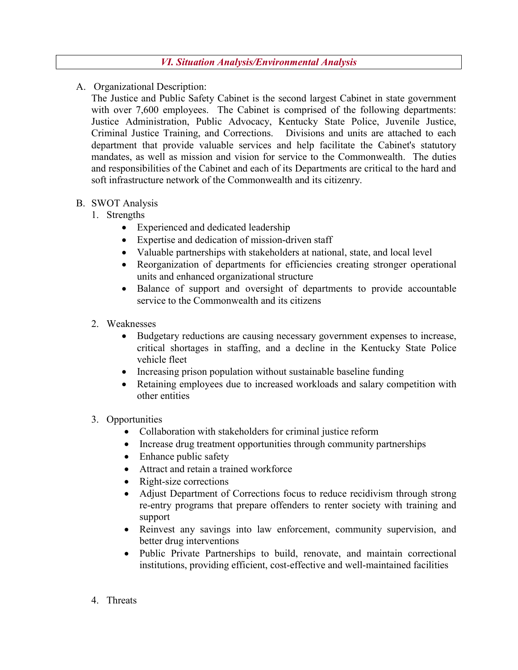A. Organizational Description:

The Justice and Public Safety Cabinet is the second largest Cabinet in state government with over 7,600 employees. The Cabinet is comprised of the following departments: Justice Administration, Public Advocacy, Kentucky State Police, Juvenile Justice, Criminal Justice Training, and Corrections. Divisions and units are attached to each department that provide valuable services and help facilitate the Cabinet's statutory mandates, as well as mission and vision for service to the Commonwealth. The duties and responsibilities of the Cabinet and each of its Departments are critical to the hard and soft infrastructure network of the Commonwealth and its citizenry.

## B. SWOT Analysis

- 1. Strengths
	- Experienced and dedicated leadership
	- Expertise and dedication of mission-driven staff
	- Valuable partnerships with stakeholders at national, state, and local level
	- Reorganization of departments for efficiencies creating stronger operational units and enhanced organizational structure
	- Balance of support and oversight of departments to provide accountable service to the Commonwealth and its citizens
- 2. Weaknesses
	- Budgetary reductions are causing necessary government expenses to increase, critical shortages in staffing, and a decline in the Kentucky State Police vehicle fleet
	- Increasing prison population without sustainable baseline funding
	- Retaining employees due to increased workloads and salary competition with other entities

### 3. Opportunities

- Collaboration with stakeholders for criminal justice reform
- Increase drug treatment opportunities through community partnerships
- Enhance public safety
- Attract and retain a trained workforce
- Right-size corrections
- Adjust Department of Corrections focus to reduce recidivism through strong re-entry programs that prepare offenders to renter society with training and support
- Reinvest any savings into law enforcement, community supervision, and better drug interventions
- Public Private Partnerships to build, renovate, and maintain correctional institutions, providing efficient, cost-effective and well-maintained facilities
- 4. Threats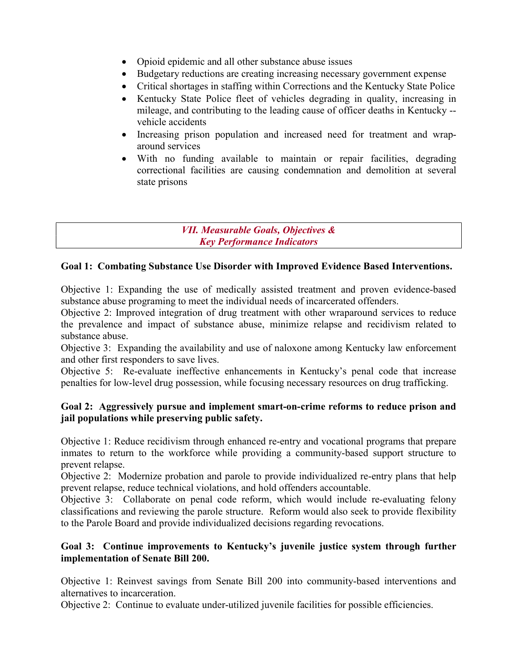- Opioid epidemic and all other substance abuse issues
- Budgetary reductions are creating increasing necessary government expense
- Critical shortages in staffing within Corrections and the Kentucky State Police
- Kentucky State Police fleet of vehicles degrading in quality, increasing in mileage, and contributing to the leading cause of officer deaths in Kentucky - vehicle accidents
- Increasing prison population and increased need for treatment and wraparound services
- With no funding available to maintain or repair facilities, degrading correctional facilities are causing condemnation and demolition at several state prisons

#### VII. Measurable Goals, Objectives & Key Performance Indicators

### Goal 1: Combating Substance Use Disorder with Improved Evidence Based Interventions.

Objective 1: Expanding the use of medically assisted treatment and proven evidence-based substance abuse programing to meet the individual needs of incarcerated offenders.

Objective 2: Improved integration of drug treatment with other wraparound services to reduce the prevalence and impact of substance abuse, minimize relapse and recidivism related to substance abuse.

Objective 3: Expanding the availability and use of naloxone among Kentucky law enforcement and other first responders to save lives.

Objective 5: Re-evaluate ineffective enhancements in Kentucky's penal code that increase penalties for low-level drug possession, while focusing necessary resources on drug trafficking.

### Goal 2: Aggressively pursue and implement smart-on-crime reforms to reduce prison and jail populations while preserving public safety.

Objective 1: Reduce recidivism through enhanced re-entry and vocational programs that prepare inmates to return to the workforce while providing a community-based support structure to prevent relapse.

Objective 2: Modernize probation and parole to provide individualized re-entry plans that help prevent relapse, reduce technical violations, and hold offenders accountable.

Objective 3: Collaborate on penal code reform, which would include re-evaluating felony classifications and reviewing the parole structure. Reform would also seek to provide flexibility to the Parole Board and provide individualized decisions regarding revocations.

### Goal 3: Continue improvements to Kentucky's juvenile justice system through further implementation of Senate Bill 200.

Objective 1: Reinvest savings from Senate Bill 200 into community-based interventions and alternatives to incarceration.

Objective 2: Continue to evaluate under-utilized juvenile facilities for possible efficiencies.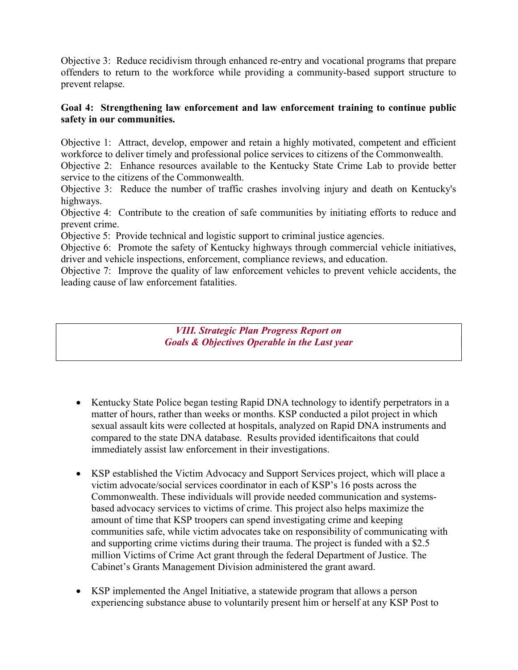Objective 3: Reduce recidivism through enhanced re-entry and vocational programs that prepare offenders to return to the workforce while providing a community-based support structure to prevent relapse.

### Goal 4: Strengthening law enforcement and law enforcement training to continue public safety in our communities.

Objective 1: Attract, develop, empower and retain a highly motivated, competent and efficient workforce to deliver timely and professional police services to citizens of the Commonwealth.

Objective 2: Enhance resources available to the Kentucky State Crime Lab to provide better service to the citizens of the Commonwealth.

Objective 3: Reduce the number of traffic crashes involving injury and death on Kentucky's highways.

Objective 4: Contribute to the creation of safe communities by initiating efforts to reduce and prevent crime.

Objective 5: Provide technical and logistic support to criminal justice agencies.

Objective 6: Promote the safety of Kentucky highways through commercial vehicle initiatives, driver and vehicle inspections, enforcement, compliance reviews, and education.

Objective 7: Improve the quality of law enforcement vehicles to prevent vehicle accidents, the leading cause of law enforcement fatalities.

> VIII. Strategic Plan Progress Report on Goals & Objectives Operable in the Last year

- Kentucky State Police began testing Rapid DNA technology to identify perpetrators in a matter of hours, rather than weeks or months. KSP conducted a pilot project in which sexual assault kits were collected at hospitals, analyzed on Rapid DNA instruments and compared to the state DNA database. Results provided identificaitons that could immediately assist law enforcement in their investigations.
- KSP established the Victim Advocacy and Support Services project, which will place a victim advocate/social services coordinator in each of KSP's 16 posts across the Commonwealth. These individuals will provide needed communication and systemsbased advocacy services to victims of crime. This project also helps maximize the amount of time that KSP troopers can spend investigating crime and keeping communities safe, while victim advocates take on responsibility of communicating with and supporting crime victims during their trauma. The project is funded with a \$2.5 million Victims of Crime Act grant through the federal Department of Justice. The Cabinet's Grants Management Division administered the grant award.
- KSP implemented the Angel Initiative, a statewide program that allows a person experiencing substance abuse to voluntarily present him or herself at any KSP Post to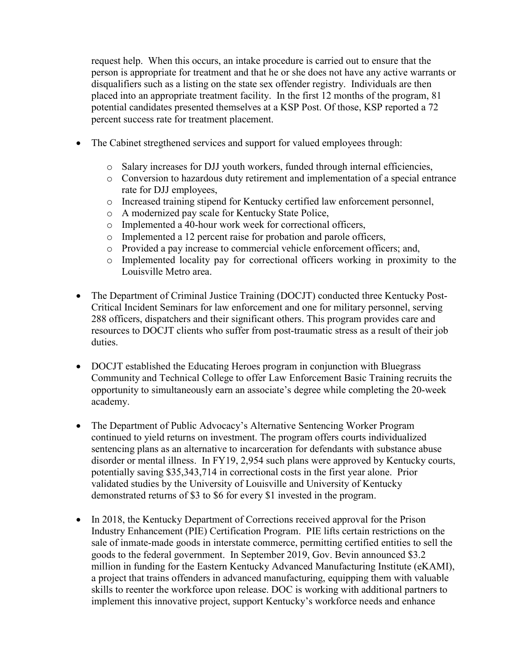request help. When this occurs, an intake procedure is carried out to ensure that the person is appropriate for treatment and that he or she does not have any active warrants or disqualifiers such as a listing on the state sex offender registry. Individuals are then placed into an appropriate treatment facility. In the first 12 months of the program, 81 potential candidates presented themselves at a KSP Post. Of those, KSP reported a 72 percent success rate for treatment placement.

- The Cabinet stregthened services and support for valued employees through:
	- o Salary increases for DJJ youth workers, funded through internal efficiencies,
	- o Conversion to hazardous duty retirement and implementation of a special entrance rate for DJJ employees,
	- o Increased training stipend for Kentucky certified law enforcement personnel,
	- o A modernized pay scale for Kentucky State Police,
	- o Implemented a 40-hour work week for correctional officers,
	- o Implemented a 12 percent raise for probation and parole officers,
	- o Provided a pay increase to commercial vehicle enforcement officers; and,
	- o Implemented locality pay for correctional officers working in proximity to the Louisville Metro area.
- The Department of Criminal Justice Training (DOCJT) conducted three Kentucky Post-Critical Incident Seminars for law enforcement and one for military personnel, serving 288 officers, dispatchers and their significant others. This program provides care and resources to DOCJT clients who suffer from post-traumatic stress as a result of their job duties.
- DOCJT established the Educating Heroes program in conjunction with Bluegrass Community and Technical College to offer Law Enforcement Basic Training recruits the opportunity to simultaneously earn an associate's degree while completing the 20-week academy.
- The Department of Public Advocacy's Alternative Sentencing Worker Program continued to yield returns on investment. The program offers courts individualized sentencing plans as an alternative to incarceration for defendants with substance abuse disorder or mental illness. In FY19, 2,954 such plans were approved by Kentucky courts, potentially saving \$35,343,714 in correctional costs in the first year alone. Prior validated studies by the University of Louisville and University of Kentucky demonstrated returns of \$3 to \$6 for every \$1 invested in the program.
- In 2018, the Kentucky Department of Corrections received approval for the Prison Industry Enhancement (PIE) Certification Program. PIE lifts certain restrictions on the sale of inmate-made goods in interstate commerce, permitting certified entities to sell the goods to the federal government. In September 2019, Gov. Bevin announced \$3.2 million in funding for the Eastern Kentucky Advanced Manufacturing Institute (eKAMI), a project that trains offenders in advanced manufacturing, equipping them with valuable skills to reenter the workforce upon release. DOC is working with additional partners to implement this innovative project, support Kentucky's workforce needs and enhance